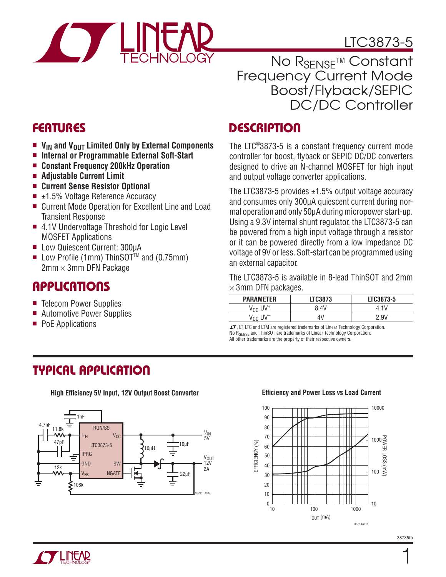

**n V<sub>IN</sub>** and V<sub>OUT</sub> Limited Only by External Components ■ Internal or Programmable External Soft-Start

■ Current Mode Operation for Excellent Line and Load

■ 4.1V Undervoltage Threshold for Logic Level

 $\blacksquare$  Low Profile (1mm) ThinSOT<sup>TM</sup> and (0.75mm)

<sup>n</sup> **Constant Frequency 200kHz Operation**

■ Current Sense Resistor Optional  $\blacksquare$   $\pm$ 1.5% Voltage Reference Accuracy

■ Adjustable Current Limit

Transient Response

MOSFET Applications

■ Low Quiescent Current: 300µA

 $2$ mm  $\times$  3mm DFN Package

## LTC3873-5

No R<sub>SENSE</sub>™ Constant Frequency Current Mode Boost/Flyback/SEPIC DC/DC Controller

### **DESCRIPTION**

The LTC®3873-5 is a constant frequency current mode controller for boost, flyback or SEPIC DC/DC converters designed to drive an N-channel MOSFET for high input and output voltage converter applications.

The LTC3873-5 provides  $\pm$ 1.5% output voltage accuracy and consumes only 300μA quiescent current during normal operation and only 50μA during micropower start-up. Using a 9.3V internal shunt regulator, the LTC3873-5 can be powered from a high input voltage through a resistor or it can be powered directly from a low impedance DC voltage of 9V or less. Soft-start can be programmed using an external capacitor.

The LTC3873-5 is available in 8-lead ThinSOT and 2mm  $\times$  3mm DFN packages.

| <b>PARAMETER</b>                | <b>LTC3873</b> | LTC3873-5 |
|---------------------------------|----------------|-----------|
| V <sub>CC</sub> UV <sup>+</sup> | 8.4V           | 1V<br>4   |
| $UV^-$<br>Vcc                   | 4V             | 2.9V      |

 $LT$ , LT, LTC and LTM are registered trademarks of Linear Technology Corporation. No RSENSE and ThinSOT are trademarks of Linear Technology Corporation. All other trademarks are the property of their respective owners.

### **TYPICAL APPLICATION**

**APPLICATIONS**

• PoE Applications

■ Telecom Power Supplies ■ Automotive Power Supplies

**FEATURES**

**High Efficiency 5V Input, 12V Output Boost Converter Efficiency and Power Loss vs Load Current** 







38735fb

1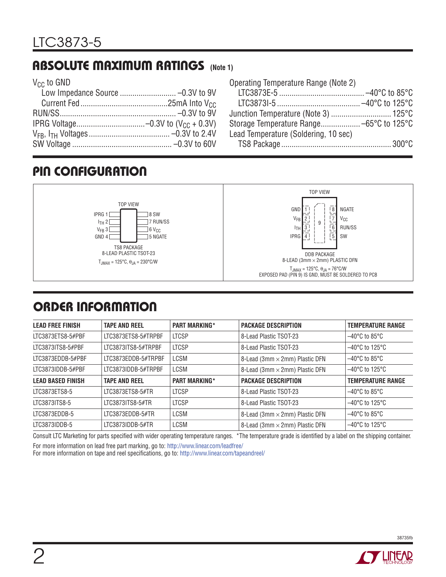### **ABSOLUTE MAXIMUM RATINGS (Note 1)**

V<sub>cc</sub> to GND

| Operating Temperature Range (Note 2) |  |
|--------------------------------------|--|
|                                      |  |
|                                      |  |
|                                      |  |
|                                      |  |
| Lead Temperature (Soldering, 10 sec) |  |
|                                      |  |

### **PIN CONFIGURATION**



# **ORDER INFORMATION**

| <b>LEAD FREE FINISH</b>  | <b>TAPE AND REEL</b> | <b>PART MARKING*</b> | <b>PACKAGE DESCRIPTION</b>     | <b>TEMPERATURE RANGE</b>            |
|--------------------------|----------------------|----------------------|--------------------------------|-------------------------------------|
| LTC3873ETS8-5#PBF        | LTC3873ETS8-5#TRPBF  | <b>LTCSP</b>         | 8-Lead Plastic TSOT-23         | $-40^{\circ}$ C to 85 $^{\circ}$ C  |
| LTC3873ITS8-5#PBF        | LTC3873ITS8-5#TRPBF  | <b>LTCSP</b>         | 8-Lead Plastic TSOT-23         | $-40^{\circ}$ C to 125 $^{\circ}$ C |
| LTC3873EDDB-5#PBF        | LTC3873EDDB-5#TRPBF  | <b>LCSM</b>          | 8-Lead (3mm × 2mm) Plastic DFN | $-40^{\circ}$ C to 85 $^{\circ}$ C  |
| LTC3873IDDB-5#PBF        | LTC3873IDDB-5#TRPBF  | <b>LCSM</b>          | 8-Lead (3mm × 2mm) Plastic DFN | $-40^{\circ}$ C to 125 $^{\circ}$ C |
| <b>LEAD BASED FINISH</b> | <b>TAPE AND REEL</b> | <b>PART MARKING*</b> | <b>PACKAGE DESCRIPTION</b>     | <b>TEMPERATURE RANGE</b>            |
| LTC3873ETS8-5            | LTC3873ETS8-5#TR     | <b>LTCSP</b>         | 8-Lead Plastic TSOT-23         | $-40^{\circ}$ C to 85 $^{\circ}$ C  |
| LTC3873ITS8-5            | LTC3873ITS8-5#TR     | <b>LTCSP</b>         | 8-Lead Plastic TSOT-23         | $-40^{\circ}$ C to 125 $^{\circ}$ C |
| ITC3873FDDB-5            | ITC3873FDDB-5#TR     | LCSM                 | 8-Lead (3mm × 2mm) Plastic DFN | $-40^{\circ}$ C to 85 $^{\circ}$ C  |
| LTC3873IDDB-5            | LTC3873IDDB-5#TR     | LCSM                 | 8-Lead (3mm × 2mm) Plastic DFN | $-40^{\circ}$ C to 125 $^{\circ}$ C |

Consult LTC Marketing for parts specified with wider operating temperature ranges. \*The temperature grade is identified by a label on the shipping container. For more information on lead free part marking, go to: http://www.linear.com/leadfree/

For more information on tape and reel specifications, go to: http://www.linear.com/tapeandreel/

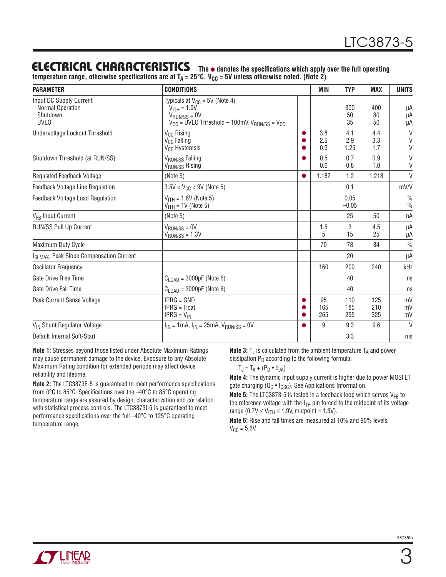### **ELECTRICAL CHARACTERISTICS** The  $\bullet$  denotes the specifications which apply over the full operating

temperature range, otherwise specifications are at  $T_A = 25^\circ \text{C}$ . V<sub>CC</sub> = 5V unless otherwise noted. (Note 2)

| <b>PARAMETER</b>                                                            | <b>CONDITIONS</b>                                                                                                                                       | MIN               | <b>TYP</b>         | <b>MAX</b>        | <b>UNITS</b>                   |
|-----------------------------------------------------------------------------|---------------------------------------------------------------------------------------------------------------------------------------------------------|-------------------|--------------------|-------------------|--------------------------------|
| Input DC Supply Current<br>Normal Operation<br>Shutdown<br>UVL <sub>0</sub> | Typicals at $V_{CC} = 5V$ (Note 4)<br>$V_{\text{ITH}} = 1.9V$<br>$V_{\text{RUN/SS}} = 0V$<br>$V_{CC}$ = UVLO Threshold - 100mV, $V_{RUN/SS}$ = $V_{CC}$ |                   | 300<br>50<br>35    | 400<br>80<br>50   | μA<br>μA<br>μA                 |
| Undervoltage Lockout Threshold                                              | V <sub>CC</sub> Rising<br>V <sub>CC</sub> Falling<br>V <sub>CC</sub> Hysteresis                                                                         | 3.8<br>2.5<br>0.9 | 4.1<br>2.9<br>1.25 | 4.4<br>3.3<br>1.7 | $\vee$<br>V<br>V               |
| Shutdown Threshold (at RUN/SS)                                              | V <sub>RUN/SS</sub> Falling<br>V <sub>RUN/SS</sub> Rising                                                                                               | 0.5<br>0.6        | 0.7<br>0.8         | 0.9<br>1.0        | $\vee$<br>V                    |
| <b>Regulated Feedback Voltage</b>                                           | (Note 5)                                                                                                                                                | 1.182             | 1.2                | 1.218             | $\vee$                         |
| <b>Feedback Voltage Line Regulation</b>                                     | $3.5V < V_{CC} < 9V$ (Note 5)                                                                                                                           |                   | 0.1                |                   | mV/V                           |
| Feedback Voltage Load Regulation                                            | $V_{ITH} = 1.6V$ (Note 5)<br>$V_{ITH} = 1V$ (Note 5)                                                                                                    |                   | 0.05<br>$-0.05$    |                   | $\frac{0}{0}$<br>$\frac{0}{0}$ |
| V <sub>FR</sub> Input Current                                               | (Note 5)                                                                                                                                                |                   | 25                 | 50                | nA                             |
| RUN/SS Pull Up Current                                                      | $V_{\text{RUN/SS}} = 0V$<br>$V_{\rm RUN/SS}$ = 1.3V                                                                                                     | 1.5<br>5          | 3<br>15            | 4.5<br>25         | μA<br>μA                       |
| Maximum Duty Cycle                                                          |                                                                                                                                                         | 70                | 78                 | 84                | $\frac{0}{0}$                  |
| I <sub>SLMAX</sub> , Peak Slope Compensation Current                        |                                                                                                                                                         |                   | 20                 |                   | μA                             |
| <b>Oscillator Frequency</b>                                                 |                                                                                                                                                         | 160               | 200                | 240               | kHz                            |
| Gate Drive Rise Time                                                        | $C_{\text{LOAD}}$ = 3000pF (Note 6)                                                                                                                     |                   | 40                 |                   | ns                             |
| Gate Drive Fall Time                                                        | $C_{1 \text{ OAD}} = 3000pF$ (Note 6)                                                                                                                   |                   | 40                 |                   | ns                             |
| Peak Current Sense Voltage                                                  | $IPRG = GND$<br>$IPRG = Float$<br>$IPRG = V_{IN}$                                                                                                       | 95<br>165<br>265  | 110<br>185<br>295  | 125<br>210<br>325 | mV<br>mV<br>mV                 |
| V <sub>IN</sub> Shunt Regulator Voltage                                     | $I_{IN}$ = 1 mA, $I_{IN}$ = 25 mA, $V_{RUN/SS}$ = 0V                                                                                                    | 9                 | 9.3                | 9.6               | V                              |
| Default Internal Soft-Start                                                 |                                                                                                                                                         |                   | 3.3                |                   | ms                             |

**Note 1:** Stresses beyond those listed under Absolute Maximum Ratings may cause permanent damage to the device. Exposure to any Absolute Maximum Rating condition for extended periods may affect device reliability and lifetime.

Note 2: The LTC3873E-5 is guaranteed to meet performance specifications from 0 $\degree$ C to 85 $\degree$ C. Specifications over the  $-40\degree$ C to 85 $\degree$ C operating temperature range are assured by design, characterization and correlation with statistical process controls. The LTC3873I-5 is guaranteed to meet performance specifications over the full -40°C to 125°C operating temperature range.

**Note 3:**  $T_J$  is calculated from the ambient temperature  $T_A$  and power dissipation  $P_D$  according to the following formula:

$$
T_J = T_A + (P_D \bullet \theta_{JA})
$$

**Note 4:** The dynamic input supply current is higher due to power MOSFET gate charging ( $Q_G \cdot f_{\text{OSC}}$ ). See Applications Information.

**Note 5:** The LTC3873-5 is tested in a feedback loop which servos V<sub>FB</sub> to the reference voltage with the  $I_{TH}$  pin forced to the midpoint of its voltage range (0.7V  $\leq$  V<sub>ITH</sub>  $\leq$  1.9V, midpoint = 1.3V).

**Note 6:** Rise and fall times are measured at 10% and 90% levels.  $V_{CC} = 5.6V$ .

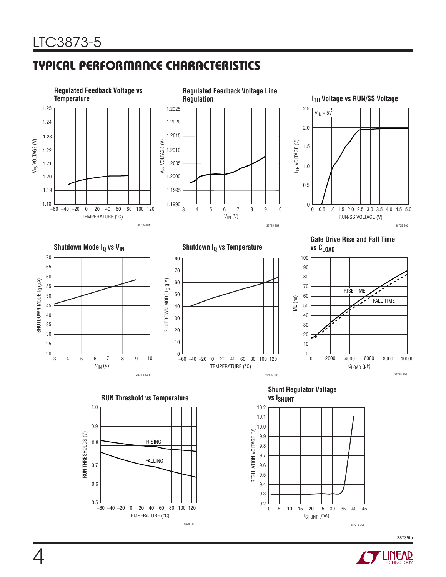# **TYPICAL PERFORMANCE CHARACTERISTICS**

TEMPERATURE (°C)

20 40 60 80 100 120

38735 G07

–60

 $-40 -20 0$ 

0.6

0.5



ISHUNT (mA)

5 15 30 35 40

10 15 20 25 30 35 40 45

3873-5 G08

 $\mathbf 0$ 9.2

9.3

9.4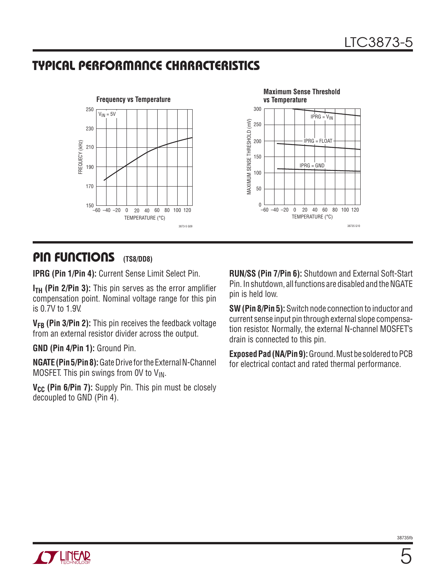### **TYPICAL PERFORMANCE CHARACTERISTICS**



### **PIN FUNCTIONS (TS8/DD8)**

**IPRG (Pin 1/Pin 4):** Current Sense Limit Select Pin.

**I<sub>TH</sub>** (Pin 2/Pin 3): This pin serves as the error amplifier compensation point. Nominal voltage range for this pin is 0.7V to 1.9V.

**VFB (Pin 3/Pin 2):** This pin receives the feedback voltage from an external resistor divider across the output.

**GND (Pin 4/Pin 1):** Ground Pin.

**NGATE (Pin 5/Pin 8):** Gate Drive for the External N-Channel MOSFET. This pin swings from OV to  $V_{IN}$ .

**V<sub>CC</sub>** (Pin 6/Pin 7): Supply Pin. This pin must be closely decoupled to GND (Pin 4).

**RUN/SS (Pin 7/Pin 6):** Shutdown and External Soft-Start Pin. In shutdown, all functions are disabled and the NGATE pin is held low.

**SW (Pin 8/Pin 5):** Switch node connection to inductor and current sense input pin through external slope compensation resistor. Normally, the external N-channel MOSFET's drain is connected to this pin.

**Exposed Pad (NA/Pin 9):** Ground. Must be soldered to PCB for electrical contact and rated thermal performance.

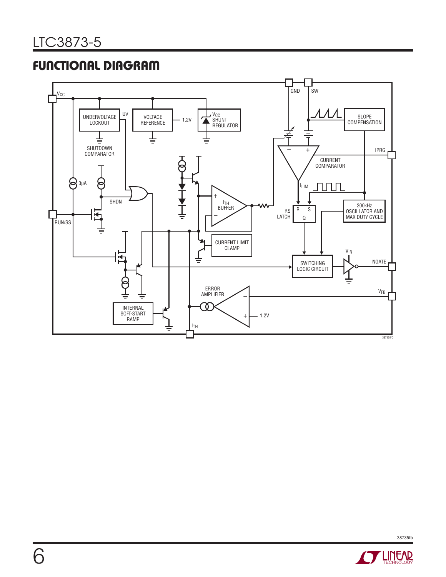# **FUNCTIONAL DIAGRAM**



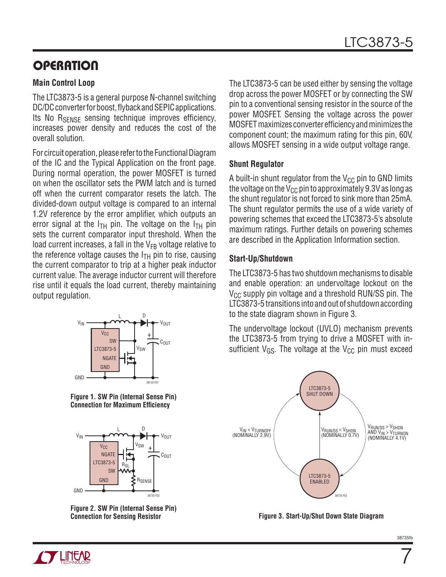## **OPERATION**

#### **Main Control Loop**

The LTC3873-5 is a general purpose N-channel switching DC/DC converter for boost, flyback and SEPIC applications. Its No  $R_{\text{SENSF}}$  sensing technique improves efficiency, increases power density and reduces the cost of the overall solution.

For circuit operation, please refer to the Functional Diagram of the IC and the Typical Application on the front page. During normal operation, the power MOSFET is turned on when the oscillator sets the PWM latch and is turned off when the current comparator resets the latch. The divided-down output voltage is compared to an internal 1.2V reference by the error amplifier, which outputs an error signal at the  $I_{TH}$  pin. The voltage on the  $I_{TH}$  pin sets the current comparator input threshold. When the load current increases, a fall in the  $V_{FR}$  voltage relative to the reference voltage causes the  $I<sub>TH</sub>$  pin to rise, causing the current comparator to trip at a higher peak inductor current value. The average inductor current will therefore rise until it equals the load current, thereby maintaining output regulation.



**Figure 1. SW Pin (Internal Sense Pin) Connection for Maximum Efficiency** 



**Figure 2. SW Pin (Internal Sense Pin)** 

The LTC3873-5 can be used either by sensing the voltage drop across the power MOSFET or by connecting the SW pin to a conventional sensing resistor in the source of the power MOSFET. Sensing the voltage across the power MOSFET maximizes converter efficiency and minimizes the component count; the maximum rating for this pin, 60V, allows MOSFET sensing in a wide output voltage range.

#### **Shunt Regulator**

A built-in shunt regulator from the  $V_{CC}$  pin to GND limits the voltage on the  $V_{CC}$  pin to approximately 9.3V as long as the shunt regulator is not forced to sink more than 25mA. The shunt regulator permits the use of a wide variety of powering schemes that exceed the LTC3873-5's absolute maximum ratings. Further details on powering schemes are described in the Application Information section.

#### **Start-Up/Shutdown**

The LTC3873-5 has two shutdown mechanisms to disable and enable operation: an undervoltage lockout on the  $V_{CC}$  supply pin voltage and a threshold RUN/SS pin. The LTC3873-5 transitions into and out of shutdown according to the state diagram shown in Figure 3.

The undervoltage lockout (UVLO) mechanism prevents the LTC3873-5 from trying to drive a MOSFET with insufficient  $V_{GS}$ . The voltage at the  $V_{CC}$  pin must exceed





7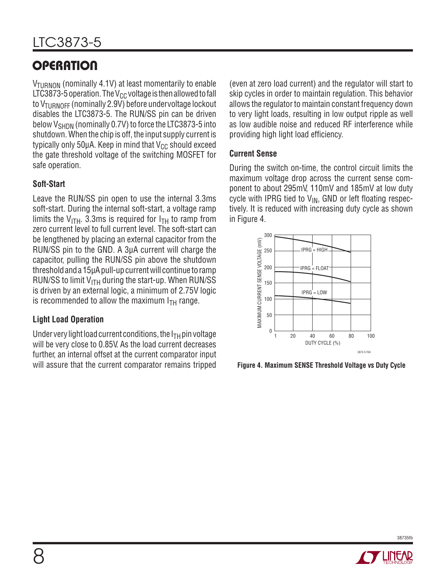# **OPERATION**

 $V_{\text{TURNON}}$  (nominally 4.1V) at least momentarily to enable LTC3873-5 operation. The V<sub>CC</sub> voltage is then allowed to fall to V<sub>TURNOFF</sub> (nominally 2.9V) before undervoltage lockout disables the LTC3873-5. The RUN/SS pin can be driven below V<sub>SHDN</sub> (nominally 0.7V) to force the LTC3873-5 into shutdown. When the chip is off, the input supply current is typically only 50 $\mu$ A. Keep in mind that  $V_{CC}$  should exceed the gate threshold voltage of the switching MOSFET for safe operation.

### **Soft-Start**

Leave the RUN/SS pin open to use the internal 3.3ms soft-start. During the internal soft-start, a voltage ramp limits the  $V_{\text{ITH}}$ . 3.3ms is required for  $I_{\text{TH}}$  to ramp from zero current level to full current level. The soft-start can be lengthened by placing an external capacitor from the RUN/SS pin to the GND. A 3μA current will charge the capacitor, pulling the RUN/SS pin above the shutdown threshold and a 15μA pull-up current will continue to ramp RUN/SS to limit  $V_{\text{ITH}}$  during the start-up. When RUN/SS is driven by an external logic, a minimum of 2.75V logic is recommended to allow the maximum  $I<sub>TH</sub>$  range.

### **Light Load Operation**

Under very light load current conditions, the  $I<sub>TH</sub>$  pin voltage will be very close to 0.85V. As the load current decreases further, an internal offset at the current comparator input will assure that the current comparator remains tripped

(even at zero load current) and the regulator will start to skip cycles in order to maintain regulation. This behavior allows the regulator to maintain constant frequency down to very light loads, resulting in low output ripple as well as low audible noise and reduced RF interference while providing high light load efficiency.

### **Current Sense**

During the switch on-time, the control circuit limits the maximum voltage drop across the current sense component to about 295mV, 110mV and 185mV at low duty cycle with IPRG tied to  $V_{IN}$ , GND or left floating respectively. It is reduced with increasing duty cycle as shown in Figure 4.



**Figure 4. Maximum SENSE Threshold Voltage vs Duty Cycle**

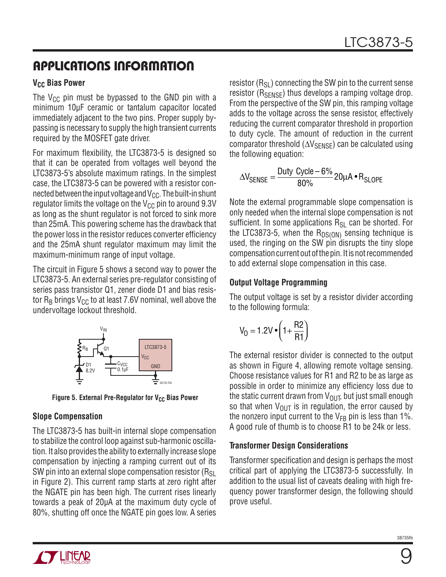# **APPLICATIONS INFORMATION**

#### **V<sub>CC</sub>** Bias Power

The  $V_{CC}$  pin must be bypassed to the GND pin with a minimum 10μF ceramic or tantalum capacitor located immediately adjacent to the two pins. Proper supply bypassing is necessary to supply the high transient currents required by the MOSFET gate driver.

For maximum flexibility, the LTC3873-5 is designed so that it can be operated from voltages well beyond the LTC3873-5's absolute maximum ratings. In the simplest case, the LTC3873-5 can be powered with a resistor connected between the input voltage and  $V_{CC}$ . The built-in shunt regulator limits the voltage on the  $V_{CC}$  pin to around 9.3V as long as the shunt regulator is not forced to sink more than 25mA. This powering scheme has the drawback that the power loss in the resistor reduces converter efficiency and the 25mA shunt regulator maximum may limit the maximum-minimum range of input voltage.

The circuit in Figure 5 shows a second way to power the LTC3873-5. An external series pre-regulator consisting of series pass transistor Q1, zener diode D1 and bias resistor  $R_B$  brings  $V_{CC}$  to at least 7.6V nominal, well above the undervoltage lockout threshold.



Figure 5. External Pre-Regulator for V<sub>CC</sub> Bias Power

### **Slope Compensation**

The LTC3873-5 has built-in internal slope compensation to stabilize the control loop against sub-harmonic oscillation. It also provides the ability to externally increase slope compensation by injecting a ramping current out of its SW pin into an external slope compensation resistor  $(R_{SI})$ in Figure 2). This current ramp starts at zero right after the NGATE pin has been high. The current rises linearly towards a peak of 20μA at the maximum duty cycle of 80%, shutting off once the NGATE pin goes low. A series resistor  $(R_{SI})$  connecting the SW pin to the current sense resistor ( $R_{\text{SENSF}}$ ) thus develops a ramping voltage drop. From the perspective of the SW pin, this ramping voltage adds to the voltage across the sense resistor, effectively reducing the current comparator threshold in proportion to duty cycle. The amount of reduction in the current comparator threshold  $(\Delta V_{\text{SENSE}})$  can be calculated using the following equation:

$$
\Delta V_{\text{SENSE}} = \frac{\text{Duty Cycle} - 6\%}{80\%} 20\mu\text{A} \cdot \text{R}_{\text{SLOPE}}
$$

Note the external programmable slope compensation is only needed when the internal slope compensation is not sufficient. In some applications  $R_{SI}$  can be shorted. For the LTC3873-5, when the  $R_{DS(ON)}$  sensing technique is used, the ringing on the SW pin disrupts the tiny slope compensation current out of the pin. It is not recommended to add external slope compensation in this case.

#### **Output Voltage Programming**

The output voltage is set by a resistor divider according to the following formula:

$$
V_0 = 1.2 V \cdot \left(1 + \frac{R2}{R1}\right)
$$

The external resistor divider is connected to the output as shown in Figure 4, allowing remote voltage sensing. Choose resistance values for R1 and R2 to be as large as possible in order to minimize any efficiency loss due to the static current drawn from  $V_{\text{OUT}}$ , but just small enough so that when  $V_{\text{OUT}}$  is in regulation, the error caused by the nonzero input current to the  $V_{FB}$  pin is less than 1%. A good rule of thumb is to choose R1 to be 24k or less.

#### **Transformer Design Considerations**

Transformer specification and design is perhaps the most critical part of applying the LTC3873-5 successfully. In addition to the usual list of caveats dealing with high frequency power transformer design, the following should prove useful.

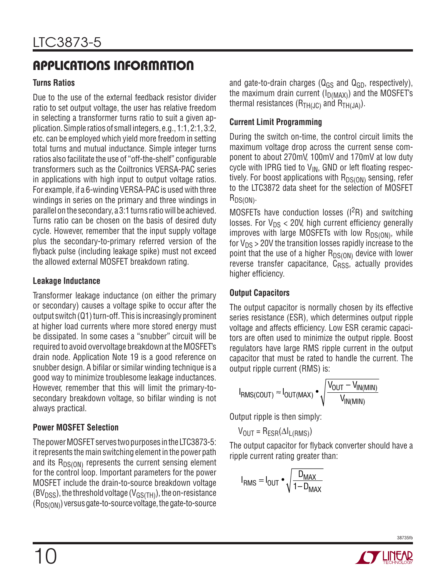# **APPLICATIONS INFORMATION**

### **Turns Ratios**

Due to the use of the external feedback resistor divider ratio to set output voltage, the user has relative freedom in selecting a transformer turns ratio to suit a given application. Simple ratios of small integers, e.g., 1:1, 2:1, 3:2, etc. can be employed which yield more freedom in setting total turns and mutual inductance. Simple integer turns ratios also facilitate the use of "off-the-shelf" configurable transformers such as the Coiltronics VERSA-PAC series in applications with high input to output voltage ratios. For example, if a 6-winding VERSA-PAC is used with three windings in series on the primary and three windings in parallel on the secondary, a 3:1 turns ratio will be achieved. Turns ratio can be chosen on the basis of desired duty cycle. However, remember that the input supply voltage plus the secondary-to-primary referred version of the flyback pulse (including leakage spike) must not exceed the allowed external MOSFET breakdown rating.

### **Leakage Inductance**

Transformer leakage inductance (on either the primary or secondary) causes a voltage spike to occur after the output switch (Q1) turn-off. This is increasingly prominent at higher load currents where more stored energy must be dissipated. In some cases a "snubber" circuit will be required to avoid overvoltage breakdown at the MOSFET's drain node. Application Note 19 is a good reference on snubber design. A bifilar or similar winding technique is a good way to minimize troublesome leakage inductances. However, remember that this will limit the primary-tosecondary breakdown voltage, so bifilar winding is not always practical.

#### **Power MOSFET Selection**

The power MOSFET serves two purposes in the LTC3873-5: it represents the main switching element in the power path and its  $R_{DS(ON)}$  represents the current sensing element for the control loop. Important parameters for the power MOSFET include the drain-to-source breakdown voltage  $(BV_{DSS})$ , the threshold voltage (V<sub>GS(TH)</sub>), the on-resistance  $(R_{DS(ON)})$  versus gate-to-source voltage, the gate-to-source

and gate-to-drain charges ( $Q_{GS}$  and  $Q_{GD}$ , respectively), the maximum drain current  $(I_{D(MAX)})$  and the MOSFET's thermal resistances ( $R_{TH(JC)}$  and  $R_{TH(JA)}$ ).

### **Current Limit Programming**

During the switch on-time, the control circuit limits the maximum voltage drop across the current sense component to about 270mV, 100mV and 170mV at low duty cycle with IPRG tied to  $V_{IN}$ , GND or left floating respectively. For boost applications with  $R_{DS(ON)}$  sensing, refer to the LTC3872 data sheet for the selection of MOSFET  $R_{DS(ON)}$ .

MOSFETs have conduction losses  $(I^2R)$  and switching losses. For  $V_{DS}$  < 20V, high current efficiency generally improves with large MOSFETs with low  $R_{DS(ON)}$ , while for  $V_{DS}$  > 20V the transition losses rapidly increase to the point that the use of a higher  $R_{DS(ON)}$  device with lower reverse transfer capacitance,  $C_{RSS}$ , actually provides higher efficiency.

### **Output Capacitors**

The output capacitor is normally chosen by its effective series resistance (ESR), which determines output ripple voltage and affects efficiency. Low ESR ceramic capacitors are often used to minimize the output ripple. Boost regulators have large RMS ripple current in the output capacitor that must be rated to handle the current. The output ripple current (RMS) is:

$$
I_{RMS(COUT)} \approx I_{OUT(MAX)} \cdot \sqrt{\frac{V_{OUT} - V_{IN(MIN)}}{V_{IN(MIN)}}}
$$

Output ripple is then simply:

$$
V_{OUT} = R_{ESR}(\Delta I_{L(RMS)})
$$

The output capacitor for flyback converter should have a ripple current rating greater than:

$$
I_{RMS} = I_{OUT} \cdot \sqrt{\frac{D_{MAX}}{1 - D_{MAX}}}
$$

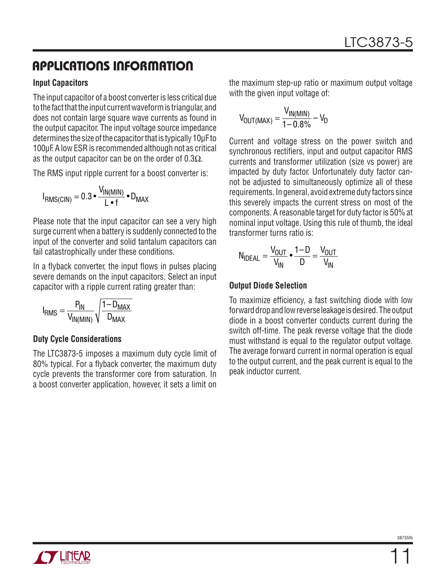### **APPLICATIONS INFORMATION**

#### **Input Capacitors**

The input capacitor of a boost converter is less critical due to the fact that the input current waveform is triangular, and does not contain large square wave currents as found in the output capacitor. The input voltage source impedance determines the size of the capacitor that is typically 10μF to 100μF. A low ESR is recommended although not as critical as the output capacitor can be on the order of 0.3 $\Omega$ .

The RMS input ripple current for a boost converter is:

$$
I_{RMS(ClN)} = 0.3 \cdot \frac{V_{IN(MIN)}}{L \cdot f} \cdot D_{MAX}
$$

Please note that the input capacitor can see a very high surge current when a battery is suddenly connected to the input of the converter and solid tantalum capacitors can fail catastrophically under these conditions.

In a flyback converter, the input flows in pulses placing severe demands on the input capacitors. Select an input capacitor with a ripple current rating greater than:

$$
I_{RMS} = \frac{P_{IN}}{V_{IN(MIN)}} \sqrt{\frac{1 - D_{MAX}}{D_{MAX}}}
$$

#### **Duty Cycle Considerations**

The LTC3873-5 imposes a maximum duty cycle limit of 80% typical. For a flyback converter, the maximum duty cycle prevents the transformer core from saturation. In a boost converter application, however, it sets a limit on the maximum step-up ratio or maximum output voltage with the given input voltage of:

$$
V_{OUT(MAX)} = \frac{V_{IN(MIN)}}{1 - 0.8\%} - V_D
$$

Current and voltage stress on the power switch and synchronous rectifiers, input and output capacitor RMS currents and transformer utilization (size vs power) are impacted by duty factor. Unfortunately duty factor cannot be adjusted to simultaneously optimize all of these requirements. In general, avoid extreme duty factors since this severely impacts the current stress on most of the components. A reasonable target for duty factor is 50% at nominal input voltage. Using this rule of thumb, the ideal transformer turns ratio is:

$$
N_{\mathsf{IDEAL}} = \frac{V_{\mathsf{OUT}}}{V_{\mathsf{IN}}} \bullet \frac{1-D}{D} = \frac{V_{\mathsf{OUT}}}{V_{\mathsf{IN}}}
$$

#### **Output Diode Selection**

To maximize efficiency, a fast switching diode with low forward drop and low reverse leakage is desired. The output diode in a boost converter conducts current during the switch off-time. The peak reverse voltage that the diode must withstand is equal to the regulator output voltage. The average forward current in normal operation is equal to the output current, and the peak current is equal to the peak inductor current.



11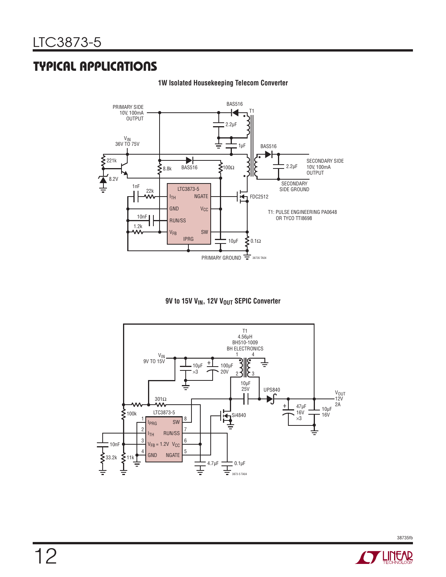### **TYPICAL APPLICATIONS**



#### **1W Isolated Housekeeping Telecom Converter**





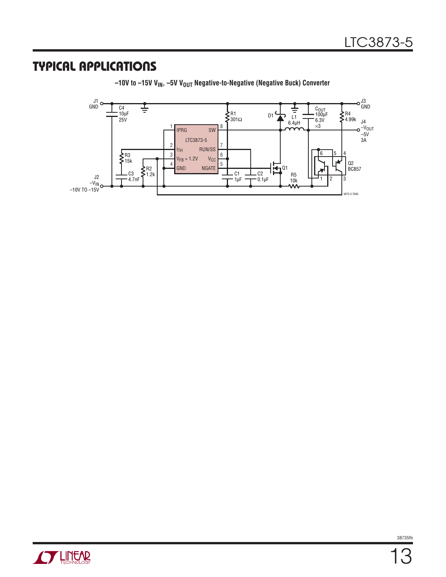### **TYPICAL APPLICATIONS**



**−10V to −15V V<sub>IN</sub>, −5V V<sub>OUT</sub> Negative-to-Negative (Negative Buck) Converter** 

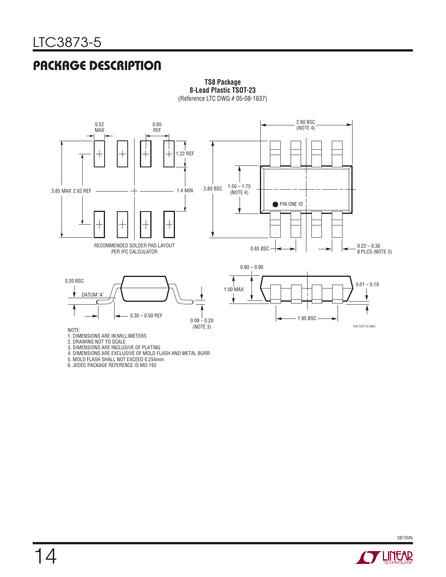# **PACKAGE DESCRIPTION**



**TS8 Package 8-Lead Plastic TSOT-23** (Reference LTC DWG # 05-08-1637)

1. DIMENSIONS ARE IN MILLIMETERS

2. DRAWING NOT TO SCALE

- 3. DIMENSIONS ARE INCLUSIVE OF PLATING
- 4. DIMENSIONS ARE EXCLUSIVE OF MOLD FLASH AND METAL BURR
- 5. MOLD FLASH SHALL NOT EXCEED 0.254mm
- 6. JEDEC PACKAGE REFERENCE IS MO-193

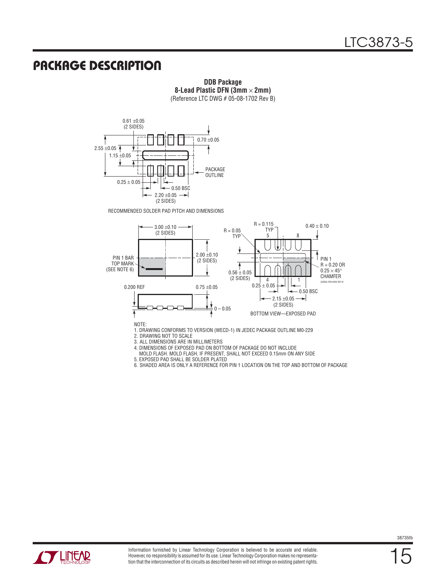### **PACKAGE DESCRIPTION**

**DDB Package 8-Lead Plastic DFN (3mm** × **2mm)** (Reference LTC DWG # 05-08-1702 Rev B)



RECOMMENDED SOLDER PAD PITCH AND DIMENSIONS



NOTE:

1. DRAWING CONFORMS TO VERSION (WECD-1) IN JEDEC PACKAGE OUTLINE M0-229

2. DRAWING NOT TO SCALE

3. ALL DIMENSIONS ARE IN MILLIMETERS

4. DIMENSIONS OF EXPOSED PAD ON BOTTOM OF PACKAGE DO NOT INCLUDE

 MOLD FLASH. MOLD FLASH, IF PRESENT, SHALL NOT EXCEED 0.15mm ON ANY SIDE 5. EXPOSED PAD SHALL BE SOLDER PLATED

6. SHADED AREA IS ONLY A REFERENCE FOR PIN 1 LOCATION ON THE TOP AND BOTTOM OF PACKAGE